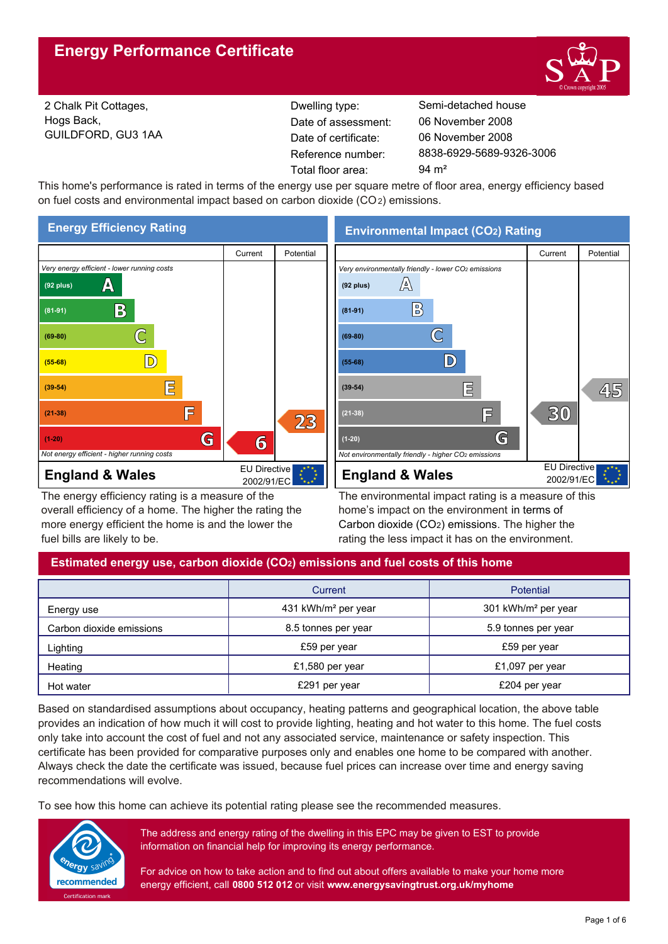

2 Chalk Pit Cottages, Hogs Back, GUILDFORD, GU3 1AA Reference number: Date of certificate: Total floor area: 94 m<sup>2</sup> Date of assessment:

Dwelling type: Semi-detached house 8838-6929-5689-9326-3006 06 November 2008 06 November 2008

This home's performance is rated in terms of the energy use per square metre of floor area, energy efficiency based on fuel costs and environmental impact based on carbon dioxide (CO2) emissions.



The energy efficiency rating is a measure of the overall efficiency of a home. The higher the rating the more energy efficient the home is and the lower the fuel bills are likely to be.

## **Environmental Impact (CO2) Rating**



The environmental impact rating is a measure of this home's impact on the environment in terms of Carbon dioxide (CO2) emissions. The higher the rating the less impact it has on the environment.

# **Estimated energy use, carbon dioxide (CO2) emissions and fuel costs of this home**

|                          | Current                         | Potential                       |
|--------------------------|---------------------------------|---------------------------------|
| Energy use               | 431 kWh/m <sup>2</sup> per year | 301 kWh/m <sup>2</sup> per year |
| Carbon dioxide emissions | 8.5 tonnes per year             | 5.9 tonnes per year             |
| Lighting                 | £59 per year                    | £59 per year                    |
| Heating                  | £1,580 per year                 | £1,097 per year                 |
| Hot water                | £291 per year                   | £204 per year                   |

Based on standardised assumptions about occupancy, heating patterns and geographical location, the above table provides an indication of how much it will cost to provide lighting, heating and hot water to this home. The fuel costs only take into account the cost of fuel and not any associated service, maintenance or safety inspection. This certificate has been provided for comparative purposes only and enables one home to be compared with another. Always check the date the certificate was issued, because fuel prices can increase over time and energy saving recommendations will evolve.

To see how this home can achieve its potential rating please see the recommended measures.



The address and energy rating of the dwelling in this EPC may be given to EST to provide information on financial help for improving its energy performance.

For advice on how to take action and to find out about offers available to make your home more energy efficient, call **0800 512 012** or visit **www.energysavingtrust.org.uk/myhome**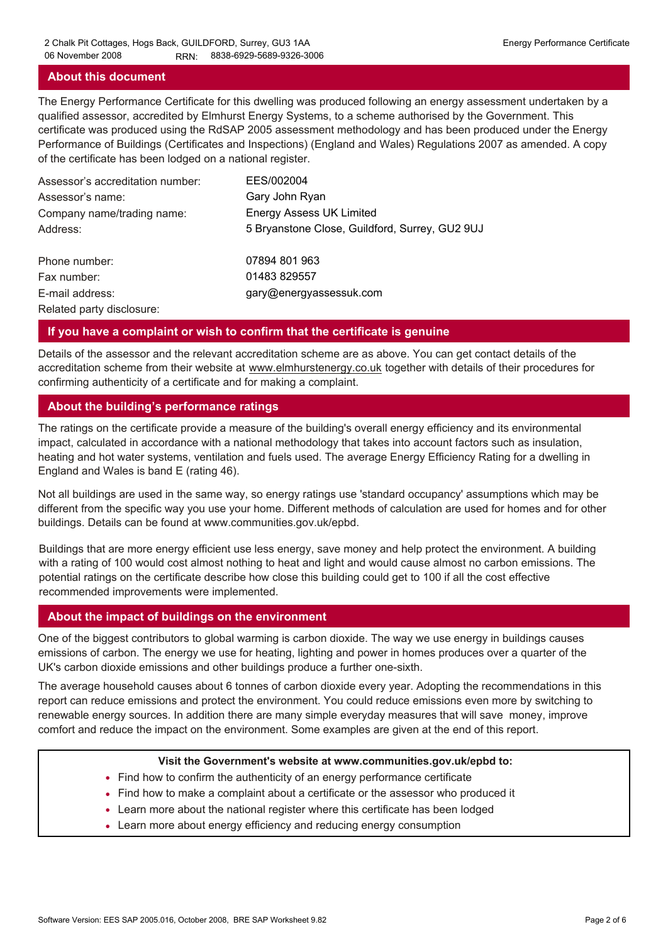#### **About this document**

The Energy Performance Certificate for this dwelling was produced following an energy assessment undertaken by a qualified assessor, accredited by Elmhurst Energy Systems, to a scheme authorised by the Government. This certificate was produced using the RdSAP 2005 assessment methodology and has been produced under the Energy Performance of Buildings (Certificates and Inspections) (England and Wales) Regulations 2007 as amended. A copy of the certificate has been lodged on a national register.

| Assessor's accreditation number: | EES/002004                                     |
|----------------------------------|------------------------------------------------|
| Assessor's name:                 | Gary John Ryan                                 |
| Company name/trading name:       | <b>Energy Assess UK Limited</b>                |
| Address:                         | 5 Bryanstone Close, Guildford, Surrey, GU2 9UJ |
| Phone number:                    | 07894 801 963                                  |
| Fax number:                      | 01483 829557                                   |
| E-mail address:                  | gary@energyassessuk.com                        |
| Related party disclosure:        |                                                |

#### **If you have a complaint or wish to confirm that the certificate is genuine**

Details of the assessor and the relevant accreditation scheme are as above. You can get contact details of the accreditation scheme from their website at www.elmhurstenergy.co.uk together with details of their procedures for confirming authenticity of a certificate and for making a complaint.

#### **About the building's performance ratings**

The ratings on the certificate provide a measure of the building's overall energy efficiency and its environmental impact, calculated in accordance with a national methodology that takes into account factors such as insulation, heating and hot water systems, ventilation and fuels used. The average Energy Efficiency Rating for a dwelling in England and Wales is band E (rating 46).

Not all buildings are used in the same way, so energy ratings use 'standard occupancy' assumptions which may be different from the specific way you use your home. Different methods of calculation are used for homes and for other buildings. Details can be found at www.communities.gov.uk/epbd.

Buildings that are more energy efficient use less energy, save money and help protect the environment. A building with a rating of 100 would cost almost nothing to heat and light and would cause almost no carbon emissions. The potential ratings on the certificate describe how close this building could get to 100 if all the cost effective recommended improvements were implemented.

#### **About the impact of buildings on the environment**

One of the biggest contributors to global warming is carbon dioxide. The way we use energy in buildings causes emissions of carbon. The energy we use for heating, lighting and power in homes produces over a quarter of the UK's carbon dioxide emissions and other buildings produce a further one-sixth.

The average household causes about 6 tonnes of carbon dioxide every year. Adopting the recommendations in this report can reduce emissions and protect the environment. You could reduce emissions even more by switching to renewable energy sources. In addition there are many simple everyday measures that will save money, improve comfort and reduce the impact on the environment. Some examples are given at the end of this report.

#### **Visit the Government's website at www.communities.gov.uk/epbd to:**

- Find how to confirm the authenticity of an energy performance certificate
- Find how to make a complaint about a certificate or the assessor who produced it •
- Learn more about the national register where this certificate has been lodged •
- Learn more about energy efficiency and reducing energy consumption •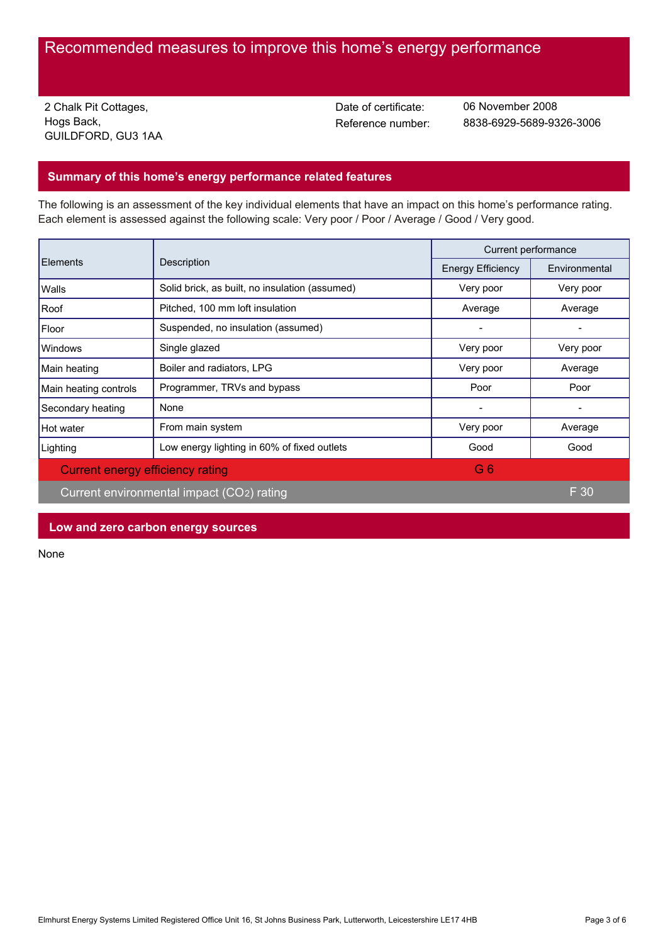# Recommended measures to improve this home's energy performance

2 Chalk Pit Cottages, Hogs Back, GUILDFORD, GU3 1AA Date of certificate:

Reference number: 8838-6929-5689-9326-3006 06 November 2008

## **Summary of this home's energy performance related features**

The following is an assessment of the key individual elements that have an impact on this home's performance rating. Each element is assessed against the following scale: Very poor / Poor / Average / Good / Very good.

| Elements                                | Description                                    | Current performance      |               |
|-----------------------------------------|------------------------------------------------|--------------------------|---------------|
|                                         |                                                | <b>Energy Efficiency</b> | Environmental |
| Walls                                   | Solid brick, as built, no insulation (assumed) | Very poor                | Very poor     |
| Roof                                    | Pitched, 100 mm loft insulation                | Average                  | Average       |
| Floor                                   | Suspended, no insulation (assumed)             |                          |               |
| <b>Windows</b>                          | Single glazed                                  | Very poor                | Very poor     |
| Main heating                            | Boiler and radiators, LPG                      | Very poor                | Average       |
| Main heating controls                   | Programmer, TRVs and bypass                    | Poor                     | Poor          |
| Secondary heating                       | None                                           |                          |               |
| Hot water                               | From main system                               | Very poor                | Average       |
| Lighting                                | Low energy lighting in 60% of fixed outlets    | Good                     | Good          |
| <b>Current energy efficiency rating</b> |                                                | G <sub>6</sub>           |               |
|                                         | Current environmental impact (CO2) rating      |                          | F 30          |

**Low and zero carbon energy sources**

None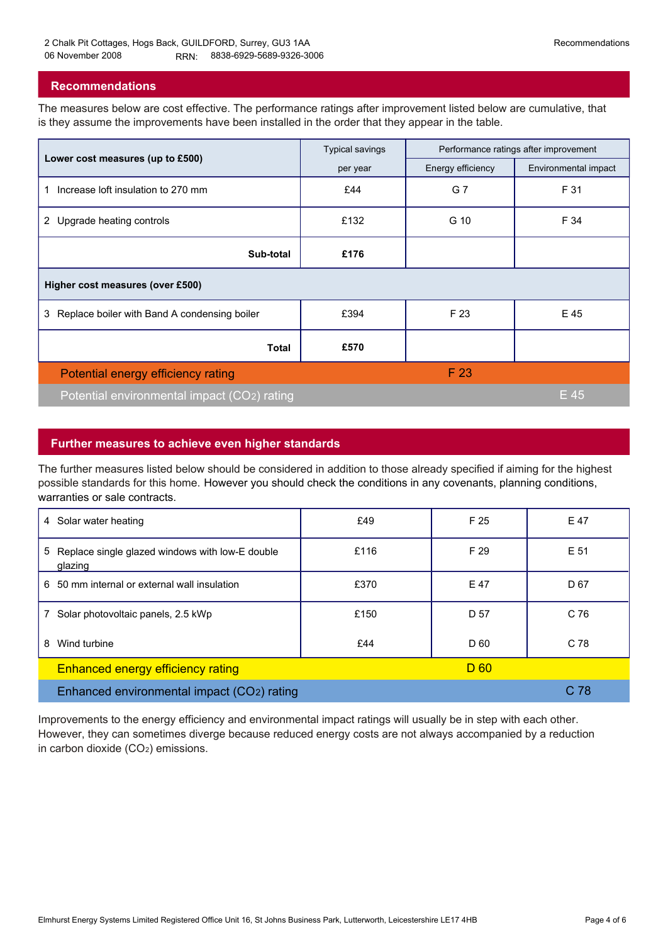## **Recommendations**

The measures below are cost effective. The performance ratings after improvement listed below are cumulative, that is they assume the improvements have been installed in the order that they appear in the table.

|                                                   | <b>Typical savings</b> | Performance ratings after improvement |                      |  |  |
|---------------------------------------------------|------------------------|---------------------------------------|----------------------|--|--|
| Lower cost measures (up to £500)                  | per year               | Energy efficiency                     | Environmental impact |  |  |
| Increase loft insulation to 270 mm                | £44                    | G 7                                   | F 31                 |  |  |
| 2 Upgrade heating controls                        | £132                   | G 10                                  | F 34                 |  |  |
| Sub-total                                         | £176                   |                                       |                      |  |  |
| Higher cost measures (over £500)                  |                        |                                       |                      |  |  |
| Replace boiler with Band A condensing boiler<br>3 | £394                   | F 23                                  | E 45                 |  |  |
| Total                                             | £570                   |                                       |                      |  |  |
| Potential energy efficiency rating                |                        | F <sub>23</sub>                       |                      |  |  |
| Potential environmental impact (CO2) rating       |                        |                                       | E 45                 |  |  |

## **Further measures to achieve even higher standards**

The further measures listed below should be considered in addition to those already specified if aiming for the highest possible standards for this home. However you should check the conditions in any covenants, planning conditions, warranties or sale contracts.

| 4 Solar water heating                                           | £49  | F 25 | E 47 |
|-----------------------------------------------------------------|------|------|------|
| 5<br>Replace single glazed windows with low-E double<br>glazing | £116 | F 29 | E 51 |
| 50 mm internal or external wall insulation<br>6                 | £370 | E 47 | D 67 |
| Solar photovoltaic panels, 2.5 kWp                              | £150 | D 57 | C 76 |
| Wind turbine<br>8                                               | £44  | D 60 | C 78 |
| D <sub>60</sub><br><b>Enhanced energy efficiency rating</b>     |      |      |      |
| Enhanced environmental impact (CO2) rating                      |      |      | C 78 |

Improvements to the energy efficiency and environmental impact ratings will usually be in step with each other. However, they can sometimes diverge because reduced energy costs are not always accompanied by a reduction in carbon dioxide (CO2) emissions.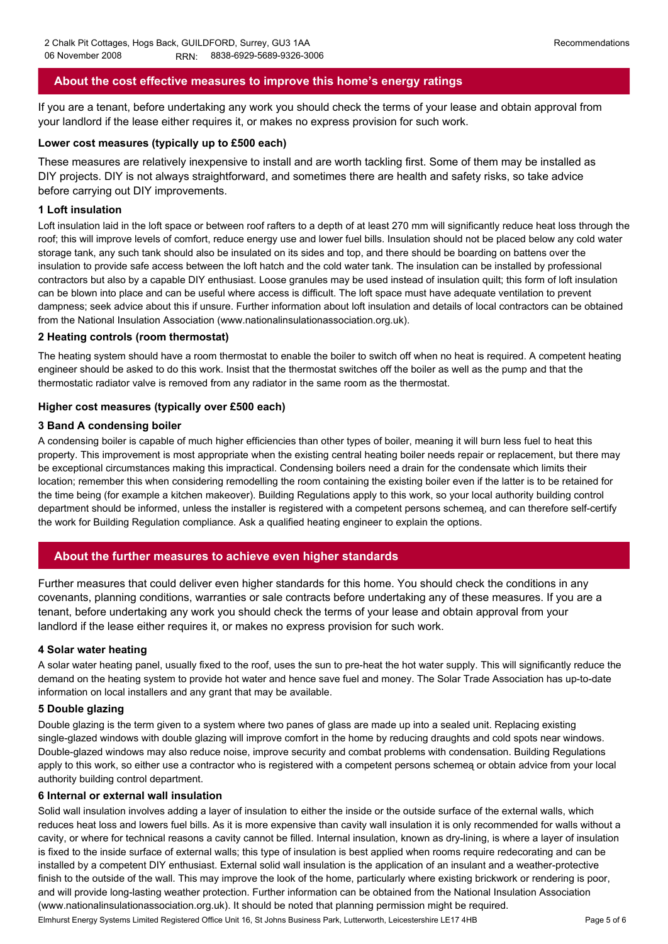## **About the cost effective measures to improve this home's energy ratings**

If you are a tenant, before undertaking any work you should check the terms of your lease and obtain approval from your landlord if the lease either requires it, or makes no express provision for such work.

#### **Lower cost measures (typically up to £500 each)**

These measures are relatively inexpensive to install and are worth tackling first. Some of them may be installed as DIY projects. DIY is not always straightforward, and sometimes there are health and safety risks, so take advice before carrying out DIY improvements.

#### **1 Loft insulation**

Loft insulation laid in the loft space or between roof rafters to a depth of at least 270 mm will significantly reduce heat loss through the roof; this will improve levels of comfort, reduce energy use and lower fuel bills. Insulation should not be placed below any cold water storage tank, any such tank should also be insulated on its sides and top, and there should be boarding on battens over the insulation to provide safe access between the loft hatch and the cold water tank. The insulation can be installed by professional contractors but also by a capable DIY enthusiast. Loose granules may be used instead of insulation quilt; this form of loft insulation can be blown into place and can be useful where access is difficult. The loft space must have adequate ventilation to prevent dampness; seek advice about this if unsure. Further information about loft insulation and details of local contractors can be obtained from the National Insulation Association (www.nationalinsulationassociation.org.uk).

#### **2 Heating controls (room thermostat)**

The heating system should have a room thermostat to enable the boiler to switch off when no heat is required. A competent heating engineer should be asked to do this work. Insist that the thermostat switches off the boiler as well as the pump and that the thermostatic radiator valve is removed from any radiator in the same room as the thermostat.

#### **Higher cost measures (typically over £500 each)**

#### **3 Band A condensing boiler**

A condensing boiler is capable of much higher efficiencies than other types of boiler, meaning it will burn less fuel to heat this property. This improvement is most appropriate when the existing central heating boiler needs repair or replacement, but there may be exceptional circumstances making this impractical. Condensing boilers need a drain for the condensate which limits their location; remember this when considering remodelling the room containing the existing boiler even if the latter is to be retained for the time being (for example a kitchen makeover). Building Regulations apply to this work, so your local authority building control department should be informed, unless the installer is registered with a competent persons schemeą, and can therefore self-certify the work for Building Regulation compliance. Ask a qualified heating engineer to explain the options.

## **About the further measures to achieve even higher standards**

Further measures that could deliver even higher standards for this home. You should check the conditions in any covenants, planning conditions, warranties or sale contracts before undertaking any of these measures. If you are a tenant, before undertaking any work you should check the terms of your lease and obtain approval from your landlord if the lease either requires it, or makes no express provision for such work.

#### **4 Solar water heating**

A solar water heating panel, usually fixed to the roof, uses the sun to pre-heat the hot water supply. This will significantly reduce the demand on the heating system to provide hot water and hence save fuel and money. The Solar Trade Association has up-to-date information on local installers and any grant that may be available.

## **5 Double glazing**

Double glazing is the term given to a system where two panes of glass are made up into a sealed unit. Replacing existing single-glazed windows with double glazing will improve comfort in the home by reducing draughts and cold spots near windows. Double-glazed windows may also reduce noise, improve security and combat problems with condensation. Building Regulations apply to this work, so either use a contractor who is registered with a competent persons schemeą or obtain advice from your local authority building control department.

#### **6 Internal or external wall insulation**

Solid wall insulation involves adding a layer of insulation to either the inside or the outside surface of the external walls, which reduces heat loss and lowers fuel bills. As it is more expensive than cavity wall insulation it is only recommended for walls without a cavity, or where for technical reasons a cavity cannot be filled. Internal insulation, known as dry-lining, is where a layer of insulation is fixed to the inside surface of external walls; this type of insulation is best applied when rooms require redecorating and can be installed by a competent DIY enthusiast. External solid wall insulation is the application of an insulant and a weather-protective finish to the outside of the wall. This may improve the look of the home, particularly where existing brickwork or rendering is poor, and will provide long-lasting weather protection. Further information can be obtained from the National Insulation Association (www.nationalinsulationassociation.org.uk). It should be noted that planning permission might be required. Elmhurst Energy Systems Limited Registered Office Unit 16, St Johns Business Park, Lutterworth, Leicestershire LE17 4HB Page 5 of 6